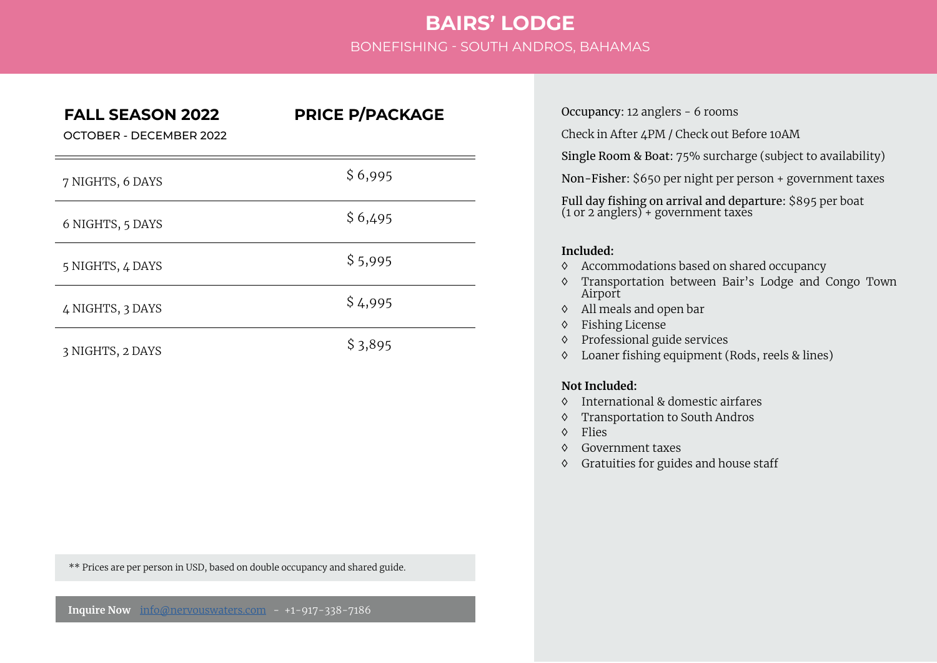# **BAIRS' LODGE** BONEFISHING - SOUTH ANDROS, BAHAMAS

| <b>FALL SEASON 2022</b><br>OCTOBER - DECEMBER 2022 | <b>PRICE P/PACKAGE</b> |
|----------------------------------------------------|------------------------|
| 7 NIGHTS, 6 DAYS                                   | \$6,995                |
| 6 NIGHTS, 5 DAYS                                   | \$6,495                |
| 5 NIGHTS, 4 DAYS                                   | \$5,995                |
| 4 NIGHTS, 3 DAYS                                   | \$4,995                |
| 3 NIGHTS, 2 DAYS                                   | \$3,895                |

\*\* Prices are per person in USD, based on double occupancy and shared guide.

Occupancy: 12 anglers - 6 rooms

Check in After 4PM / Check out Before 10AM

Single Room & Boat: 75% surcharge (subject to availability)

Non-Fisher: \$650 per night per person + government taxes

Full day fishing on arrival and departure: \$895 per boat (1 or 2 anglers) + government taxes

#### **Included:**

- ◊ Accommodations based on shared occupancy
- ◊ Transportation between Bair's Lodge and Congo Town Airport
- ◊ All meals and open bar
- ◊ Fishing License
- ◊ Professional guide services
- ◊ Loaner fishing equipment (Rods, reels & lines)

### **Not Included:**

- ◊ International & domestic airfares
- ◊ Transportation to South Andros
- ◊ Flies
- ◊ Government taxes
- ◊ Gratuities for guides and house staff